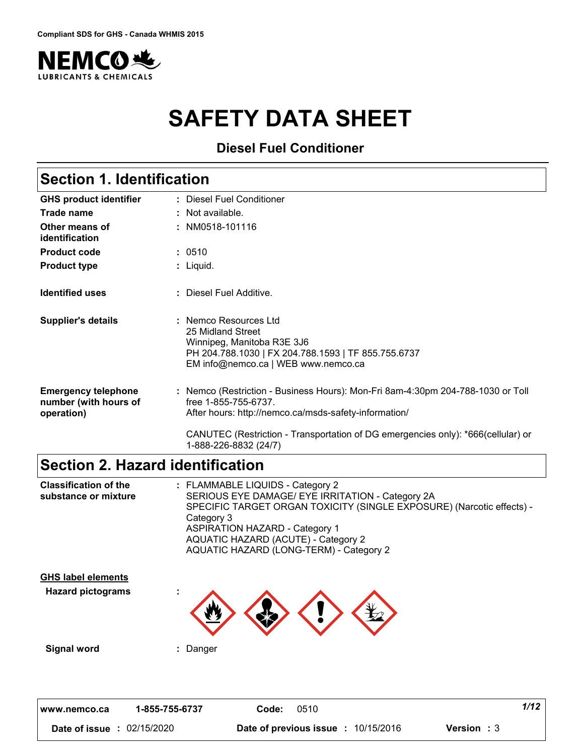

# **SAFETY DATA SHEET**

**Diesel Fuel Conditioner**

| <b>Section 1. Identification</b>                                  |                                                                                                                                                                        |  |
|-------------------------------------------------------------------|------------------------------------------------------------------------------------------------------------------------------------------------------------------------|--|
| <b>GHS product identifier</b>                                     | : Diesel Fuel Conditioner                                                                                                                                              |  |
| Trade name                                                        | : Not available.                                                                                                                                                       |  |
| Other means of<br>identification                                  | : NM0518-101116                                                                                                                                                        |  |
| <b>Product code</b>                                               | : 0510                                                                                                                                                                 |  |
| <b>Product type</b>                                               | $:$ Liquid.                                                                                                                                                            |  |
| <b>Identified uses</b>                                            | : Diesel Fuel Additive.                                                                                                                                                |  |
| <b>Supplier's details</b>                                         | : Nemco Resources Ltd<br>25 Midland Street<br>Winnipeg, Manitoba R3E 3J6<br>PH 204.788.1030   FX 204.788.1593   TF 855.755.6737<br>EM info@nemco.ca   WEB www.nemco.ca |  |
| <b>Emergency telephone</b><br>number (with hours of<br>operation) | : Nemco (Restriction - Business Hours): Mon-Fri 8am-4:30pm 204-788-1030 or Toll<br>free 1-855-755-6737<br>After hours: http://nemco.ca/msds-safety-information/        |  |
|                                                                   | CANUTEC (Restriction - Transportation of DG emergencies only): *666(cellular) or<br>1-888-226-8832 (24/7)                                                              |  |

# **Section 2. Hazard identification**

| <b>Classification of the</b><br>substance or mixture  | : FLAMMABLE LIQUIDS - Category 2<br>SERIOUS EYE DAMAGE/ EYE IRRITATION - Category 2A<br>SPECIFIC TARGET ORGAN TOXICITY (SINGLE EXPOSURE) (Narcotic effects) -<br>Category 3<br><b>ASPIRATION HAZARD - Category 1</b><br>AQUATIC HAZARD (ACUTE) - Category 2<br>AQUATIC HAZARD (LONG-TERM) - Category 2 |
|-------------------------------------------------------|--------------------------------------------------------------------------------------------------------------------------------------------------------------------------------------------------------------------------------------------------------------------------------------------------------|
| <b>GHS label elements</b><br><b>Hazard pictograms</b> |                                                                                                                                                                                                                                                                                                        |

**Signal word :** Danger

| 1-855-755-6737<br>www.nemco.ca | 0510<br>Code: |                                                                  | 1/12 |
|--------------------------------|---------------|------------------------------------------------------------------|------|
| : 02/15/2020<br>Date of issue  |               | <b>Date of previous issue : 10/15/2016</b><br><b>Version</b> : 3 |      |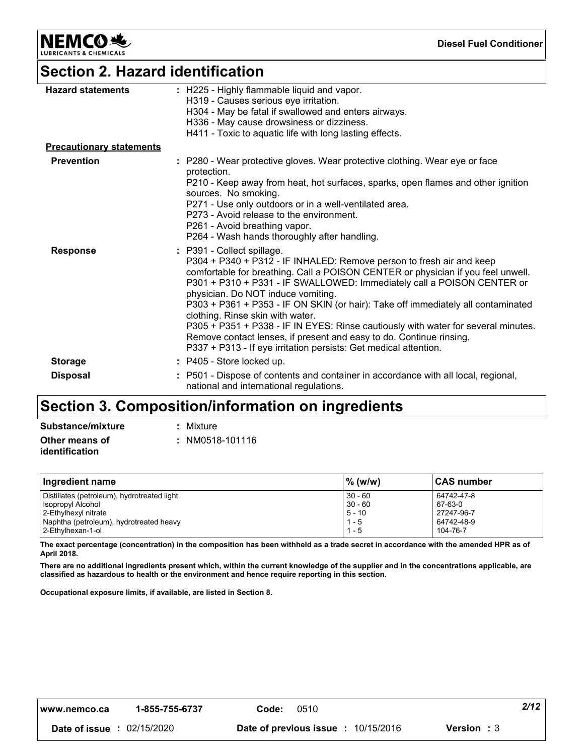**NEMCO头** 

**Diesel Fuel Conditioner**

## **Section 2. Hazard identification**

| <b>Hazard statements</b>        | : H225 - Highly flammable liquid and vapor.<br>H319 - Causes serious eye irritation.<br>H304 - May be fatal if swallowed and enters airways.<br>H336 - May cause drowsiness or dizziness.<br>H411 - Toxic to aquatic life with long lasting effects.                                                                                                                                                                                                                                                                                                                                                                                                           |
|---------------------------------|----------------------------------------------------------------------------------------------------------------------------------------------------------------------------------------------------------------------------------------------------------------------------------------------------------------------------------------------------------------------------------------------------------------------------------------------------------------------------------------------------------------------------------------------------------------------------------------------------------------------------------------------------------------|
| <b>Precautionary statements</b> |                                                                                                                                                                                                                                                                                                                                                                                                                                                                                                                                                                                                                                                                |
| <b>Prevention</b>               | : P280 - Wear protective gloves. Wear protective clothing. Wear eye or face<br>protection.<br>P210 - Keep away from heat, hot surfaces, sparks, open flames and other ignition<br>sources. No smoking.<br>P271 - Use only outdoors or in a well-ventilated area.<br>P273 - Avoid release to the environment.<br>P261 - Avoid breathing vapor.<br>P264 - Wash hands thoroughly after handling.                                                                                                                                                                                                                                                                  |
| <b>Response</b>                 | : P391 - Collect spillage.<br>P304 + P340 + P312 - IF INHALED: Remove person to fresh air and keep<br>comfortable for breathing. Call a POISON CENTER or physician if you feel unwell.<br>P301 + P310 + P331 - IF SWALLOWED: Immediately call a POISON CENTER or<br>physician. Do NOT induce vomiting.<br>P303 + P361 + P353 - IF ON SKIN (or hair): Take off immediately all contaminated<br>clothing. Rinse skin with water.<br>P305 + P351 + P338 - IF IN EYES: Rinse cautiously with water for several minutes.<br>Remove contact lenses, if present and easy to do. Continue rinsing.<br>P337 + P313 - If eye irritation persists: Get medical attention. |
| <b>Storage</b>                  | : P405 - Store locked up.                                                                                                                                                                                                                                                                                                                                                                                                                                                                                                                                                                                                                                      |
| <b>Disposal</b>                 | P501 - Dispose of contents and container in accordance with all local, regional,<br>national and international regulations.                                                                                                                                                                                                                                                                                                                                                                                                                                                                                                                                    |

## **Section 3. Composition/information on ingredients**

| Substance/mixture                | : Mixture       |
|----------------------------------|-----------------|
| Other means of<br>identification | : NM0518-101116 |

| Ingredient name                             | $%$ (w/w) | ∣CAS number |
|---------------------------------------------|-----------|-------------|
| Distillates (petroleum), hydrotreated light | $30 - 60$ | 64742-47-8  |
| Isopropyl Alcohol                           | $30 - 60$ | 67-63-0     |
| 2-Ethylhexyl nitrate                        | $5 - 10$  | 27247-96-7  |
| Naphtha (petroleum), hydrotreated heavy     | $1 - 5$   | 64742-48-9  |
| l 2-Ethvlhexan-1-ol                         | $1 - 5$   | 104-76-7    |

**The exact percentage (concentration) in the composition has been withheld as a trade secret in accordance with the amended HPR as of April 2018.**

**There are no additional ingredients present which, within the current knowledge of the supplier and in the concentrations applicable, are classified as hazardous to health or the environment and hence require reporting in this section.**

**Occupational exposure limits, if available, are listed in Section 8.**

| 2/42<br>1-855-755-6737<br>0510<br>Code:<br>www.nemco.ca |
|---------------------------------------------------------|
|---------------------------------------------------------|

**Date of issue :** 02/15/2020 **Date of previous issue :** 10/15/2016 **Version :** 3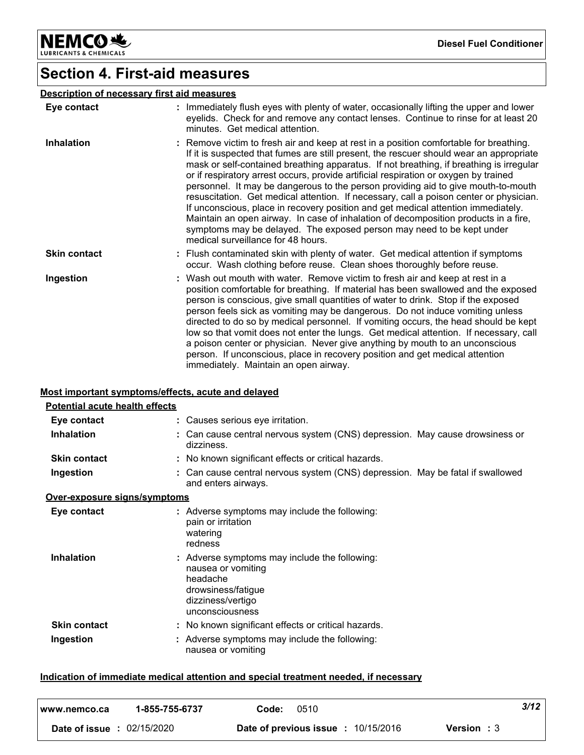**NEMCO头** LUBRICANTS & CHEMICALS

**Diesel Fuel Conditioner**

## **Section 4. First-aid measures**

### **Description of necessary first aid measures**

| Eye contact         | : Immediately flush eyes with plenty of water, occasionally lifting the upper and lower<br>eyelids. Check for and remove any contact lenses. Continue to rinse for at least 20<br>minutes. Get medical attention.                                                                                                                                                                                                                                                                                                                                                                                                                                                                                                                                                                                                                              |
|---------------------|------------------------------------------------------------------------------------------------------------------------------------------------------------------------------------------------------------------------------------------------------------------------------------------------------------------------------------------------------------------------------------------------------------------------------------------------------------------------------------------------------------------------------------------------------------------------------------------------------------------------------------------------------------------------------------------------------------------------------------------------------------------------------------------------------------------------------------------------|
| <b>Inhalation</b>   | : Remove victim to fresh air and keep at rest in a position comfortable for breathing.<br>If it is suspected that fumes are still present, the rescuer should wear an appropriate<br>mask or self-contained breathing apparatus. If not breathing, if breathing is irregular<br>or if respiratory arrest occurs, provide artificial respiration or oxygen by trained<br>personnel. It may be dangerous to the person providing aid to give mouth-to-mouth<br>resuscitation. Get medical attention. If necessary, call a poison center or physician.<br>If unconscious, place in recovery position and get medical attention immediately.<br>Maintain an open airway. In case of inhalation of decomposition products in a fire,<br>symptoms may be delayed. The exposed person may need to be kept under<br>medical surveillance for 48 hours. |
| <b>Skin contact</b> | : Flush contaminated skin with plenty of water. Get medical attention if symptoms<br>occur. Wash clothing before reuse. Clean shoes thoroughly before reuse.                                                                                                                                                                                                                                                                                                                                                                                                                                                                                                                                                                                                                                                                                   |
| Ingestion           | : Wash out mouth with water. Remove victim to fresh air and keep at rest in a<br>position comfortable for breathing. If material has been swallowed and the exposed<br>person is conscious, give small quantities of water to drink. Stop if the exposed<br>person feels sick as vomiting may be dangerous. Do not induce vomiting unless<br>directed to do so by medical personnel. If vomiting occurs, the head should be kept<br>low so that vomit does not enter the lungs. Get medical attention. If necessary, call<br>a poison center or physician. Never give anything by mouth to an unconscious<br>person. If unconscious, place in recovery position and get medical attention<br>immediately. Maintain an open airway.                                                                                                             |

### **Most important symptoms/effects, acute and delayed**

| <b>Potential acute health effects</b> |                                                                                                                                               |
|---------------------------------------|-----------------------------------------------------------------------------------------------------------------------------------------------|
| Eye contact                           | : Causes serious eye irritation.                                                                                                              |
| <b>Inhalation</b>                     | : Can cause central nervous system (CNS) depression. May cause drowsiness or<br>dizziness.                                                    |
| <b>Skin contact</b>                   | : No known significant effects or critical hazards.                                                                                           |
| Ingestion                             | : Can cause central nervous system (CNS) depression. May be fatal if swallowed<br>and enters airways.                                         |
| Over-exposure signs/symptoms          |                                                                                                                                               |
| Eye contact                           | : Adverse symptoms may include the following:<br>pain or irritation<br>watering<br>redness                                                    |
| <b>Inhalation</b>                     | : Adverse symptoms may include the following:<br>nausea or vomiting<br>headache<br>drowsiness/fatique<br>dizziness/vertigo<br>unconsciousness |
| <b>Skin contact</b>                   | : No known significant effects or critical hazards.                                                                                           |
| Ingestion                             | : Adverse symptoms may include the following:<br>nausea or vomiting                                                                           |

### **Indication of immediate medical attention and special treatment needed, if necessary**

| l www.nemco.ca  | 1-855-755-6737 | 0510<br>Code:                            | 3/12               |
|-----------------|----------------|------------------------------------------|--------------------|
| Date of issue : | 02/15/2020     | 10/15/2016<br>Date of previous issue : . | <b>Version</b> : 3 |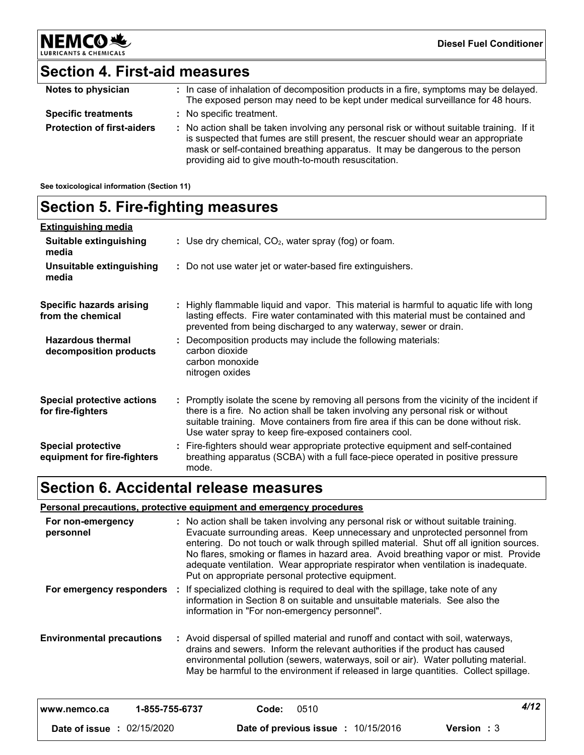# **Section 4. First-aid measures**

| Notes to physician                | : In case of inhalation of decomposition products in a fire, symptoms may be delayed.<br>The exposed person may need to be kept under medical surveillance for 48 hours.                                                                                                                                                |
|-----------------------------------|-------------------------------------------------------------------------------------------------------------------------------------------------------------------------------------------------------------------------------------------------------------------------------------------------------------------------|
| <b>Specific treatments</b>        | : No specific treatment.                                                                                                                                                                                                                                                                                                |
| <b>Protection of first-aiders</b> | : No action shall be taken involving any personal risk or without suitable training. If it<br>is suspected that fumes are still present, the rescuer should wear an appropriate<br>mask or self-contained breathing apparatus. It may be dangerous to the person<br>providing aid to give mouth-to-mouth resuscitation. |

**See toxicological information (Section 11)**

**NEMCO头** 

LUBRIC

CHEMICALS

| <b>Section 5. Fire-fighting measures</b> |  |
|------------------------------------------|--|
|------------------------------------------|--|

| <b>Extinguishing media</b>                               |                                                                                                                                                                                                                                                                                                                               |
|----------------------------------------------------------|-------------------------------------------------------------------------------------------------------------------------------------------------------------------------------------------------------------------------------------------------------------------------------------------------------------------------------|
| Suitable extinguishing<br>media                          | : Use dry chemical, $CO2$ , water spray (fog) or foam.                                                                                                                                                                                                                                                                        |
| Unsuitable extinguishing<br>media                        | : Do not use water jet or water-based fire extinguishers.                                                                                                                                                                                                                                                                     |
| <b>Specific hazards arising</b><br>from the chemical     | : Highly flammable liquid and vapor. This material is harmful to aquatic life with long<br>lasting effects. Fire water contaminated with this material must be contained and<br>prevented from being discharged to any waterway, sewer or drain.                                                                              |
| <b>Hazardous thermal</b><br>decomposition products       | : Decomposition products may include the following materials:<br>carbon dioxide<br>carbon monoxide<br>nitrogen oxides                                                                                                                                                                                                         |
| <b>Special protective actions</b><br>for fire-fighters   | : Promptly isolate the scene by removing all persons from the vicinity of the incident if<br>there is a fire. No action shall be taken involving any personal risk or without<br>suitable training. Move containers from fire area if this can be done without risk.<br>Use water spray to keep fire-exposed containers cool. |
| <b>Special protective</b><br>equipment for fire-fighters | : Fire-fighters should wear appropriate protective equipment and self-contained<br>breathing apparatus (SCBA) with a full face-piece operated in positive pressure<br>mode.                                                                                                                                                   |

# **Section 6. Accidental release measures**

#### **Personal precautions, protective equipment and emergency procedures**

| For non-emergency<br>personnel    |       | : No action shall be taken involving any personal risk or without suitable training.<br>Evacuate surrounding areas. Keep unnecessary and unprotected personnel from<br>entering. Do not touch or walk through spilled material. Shut off all ignition sources.<br>No flares, smoking or flames in hazard area. Avoid breathing vapor or mist. Provide<br>adequate ventilation. Wear appropriate respirator when ventilation is inadequate.<br>Put on appropriate personal protective equipment. |                    |      |
|-----------------------------------|-------|-------------------------------------------------------------------------------------------------------------------------------------------------------------------------------------------------------------------------------------------------------------------------------------------------------------------------------------------------------------------------------------------------------------------------------------------------------------------------------------------------|--------------------|------|
| For emergency responders          |       | If specialized clothing is required to deal with the spillage, take note of any<br>information in Section 8 on suitable and unsuitable materials. See also the<br>information in "For non-emergency personnel".                                                                                                                                                                                                                                                                                 |                    |      |
| <b>Environmental precautions</b>  |       | : Avoid dispersal of spilled material and runoff and contact with soil, waterways,<br>drains and sewers. Inform the relevant authorities if the product has caused<br>environmental pollution (sewers, waterways, soil or air). Water polluting material.<br>May be harmful to the environment if released in large quantities. Collect spillage.                                                                                                                                               |                    |      |
| 1-855-755-6737<br>www.nemco.ca    | Code: | 0510                                                                                                                                                                                                                                                                                                                                                                                                                                                                                            |                    | 4/12 |
| <b>Date of issue : 02/15/2020</b> |       | Date of previous issue : 10/15/2016                                                                                                                                                                                                                                                                                                                                                                                                                                                             | <b>Version</b> : 3 |      |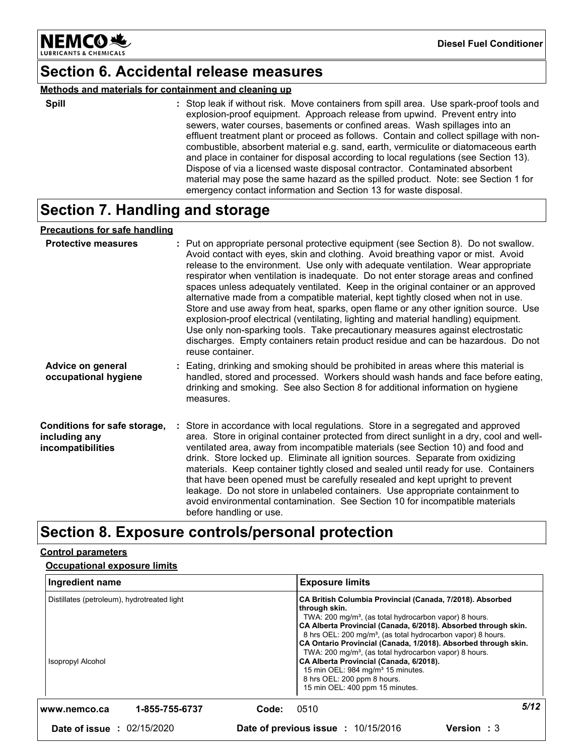

### **Section 6. Accidental release measures**

### **Methods and materials for containment and cleaning up**

**Spill** Stop leak if without risk. Move containers from spill area. Use spark-proof tools and **:** explosion-proof equipment. Approach release from upwind. Prevent entry into sewers, water courses, basements or confined areas. Wash spillages into an effluent treatment plant or proceed as follows. Contain and collect spillage with noncombustible, absorbent material e.g. sand, earth, vermiculite or diatomaceous earth and place in container for disposal according to local regulations (see Section 13). Dispose of via a licensed waste disposal contractor. Contaminated absorbent material may pose the same hazard as the spilled product. Note: see Section 1 for emergency contact information and Section 13 for waste disposal.

## **Section 7. Handling and storage**

### **Precautions for safe handling**

| <b>Protective measures</b>                                         | : Put on appropriate personal protective equipment (see Section 8). Do not swallow.<br>Avoid contact with eyes, skin and clothing. Avoid breathing vapor or mist. Avoid<br>release to the environment. Use only with adequate ventilation. Wear appropriate<br>respirator when ventilation is inadequate. Do not enter storage areas and confined<br>spaces unless adequately ventilated. Keep in the original container or an approved<br>alternative made from a compatible material, kept tightly closed when not in use.<br>Store and use away from heat, sparks, open flame or any other ignition source. Use<br>explosion-proof electrical (ventilating, lighting and material handling) equipment.<br>Use only non-sparking tools. Take precautionary measures against electrostatic<br>discharges. Empty containers retain product residue and can be hazardous. Do not<br>reuse container. |
|--------------------------------------------------------------------|-----------------------------------------------------------------------------------------------------------------------------------------------------------------------------------------------------------------------------------------------------------------------------------------------------------------------------------------------------------------------------------------------------------------------------------------------------------------------------------------------------------------------------------------------------------------------------------------------------------------------------------------------------------------------------------------------------------------------------------------------------------------------------------------------------------------------------------------------------------------------------------------------------|
| <b>Advice on general</b><br>occupational hygiene                   | : Eating, drinking and smoking should be prohibited in areas where this material is<br>handled, stored and processed. Workers should wash hands and face before eating,<br>drinking and smoking. See also Section 8 for additional information on hygiene<br>measures.                                                                                                                                                                                                                                                                                                                                                                                                                                                                                                                                                                                                                              |
| Conditions for safe storage,<br>including any<br>incompatibilities | : Store in accordance with local regulations. Store in a segregated and approved<br>area. Store in original container protected from direct sunlight in a dry, cool and well-<br>ventilated area, away from incompatible materials (see Section 10) and food and<br>drink. Store locked up. Eliminate all ignition sources. Separate from oxidizing<br>materials. Keep container tightly closed and sealed until ready for use. Containers<br>that have been opened must be carefully resealed and kept upright to prevent<br>leakage. Do not store in unlabeled containers. Use appropriate containment to<br>avoid environmental contamination. See Section 10 for incompatible materials<br>before handling or use.                                                                                                                                                                              |

## **Section 8. Exposure controls/personal protection**

### **Control parameters**

### **Occupational exposure limits**

| Ingredient name                                                         | <b>Exposure limits</b>                                                                                                                                                                                                                                                                                                                                                                                                                                                                                                                                                                               |                    |
|-------------------------------------------------------------------------|------------------------------------------------------------------------------------------------------------------------------------------------------------------------------------------------------------------------------------------------------------------------------------------------------------------------------------------------------------------------------------------------------------------------------------------------------------------------------------------------------------------------------------------------------------------------------------------------------|--------------------|
| Distillates (petroleum), hydrotreated light<br><b>Isopropyl Alcohol</b> | CA British Columbia Provincial (Canada, 7/2018). Absorbed<br>through skin.<br>TWA: 200 mg/m <sup>3</sup> , (as total hydrocarbon vapor) 8 hours.<br>CA Alberta Provincial (Canada, 6/2018). Absorbed through skin.<br>8 hrs OEL: 200 mg/m <sup>3</sup> , (as total hydrocarbon vapor) 8 hours.<br>CA Ontario Provincial (Canada, 1/2018). Absorbed through skin.<br>TWA: 200 mg/m <sup>3</sup> , (as total hydrocarbon vapor) 8 hours.<br>CA Alberta Provincial (Canada, 6/2018).<br>15 min OEL: 984 mg/m <sup>3</sup> 15 minutes.<br>8 hrs OEL: 200 ppm 8 hours.<br>15 min OEL: 400 ppm 15 minutes. |                    |
| 1-855-755-6737<br>www.nemco.ca                                          | 0510<br>Code:                                                                                                                                                                                                                                                                                                                                                                                                                                                                                                                                                                                        | 5/12               |
| <b>Date of issue : 02/15/2020</b>                                       | Date of previous issue : 10/15/2016                                                                                                                                                                                                                                                                                                                                                                                                                                                                                                                                                                  | <b>Version</b> : 3 |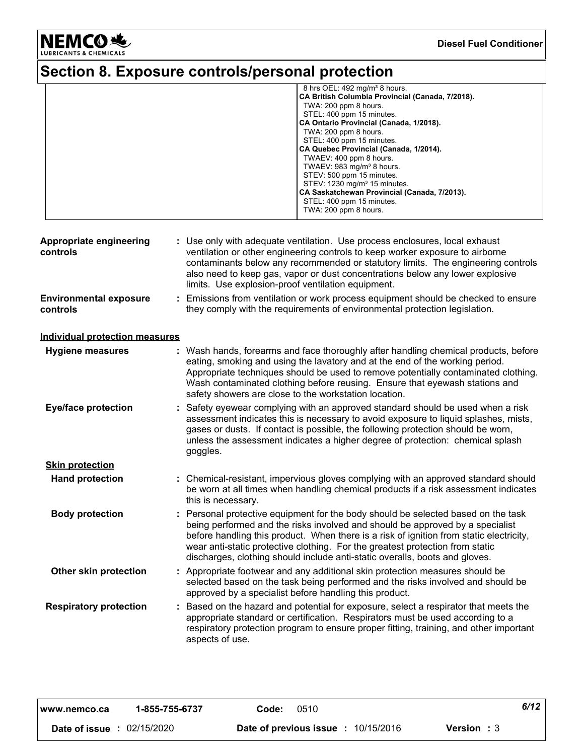NEMCO<sup>.</sup>

### **Diesel Fuel Conditioner**

# **Section 8. Exposure controls/personal protection**

| 8 hrs OEL: $492 \text{ mg/m}^3$ 8 hours.         |
|--------------------------------------------------|
| CA British Columbia Provincial (Canada, 7/2018). |
| TWA: 200 ppm 8 hours.                            |
| STEL: 400 ppm 15 minutes.                        |
| CA Ontario Provincial (Canada, 1/2018).          |
| TWA: 200 ppm 8 hours.                            |
| STEL: 400 ppm 15 minutes.                        |
| CA Quebec Provincial (Canada, 1/2014).           |
| TWAEV: 400 ppm 8 hours.                          |
| TWAEV: $983 \text{ mg/m}^3$ 8 hours.             |
| STEV: 500 ppm 15 minutes.                        |
| STEV: 1230 mg/m <sup>3</sup> 15 minutes.         |
| CA Saskatchewan Provincial (Canada, 7/2013).     |
| STEL: 400 ppm 15 minutes.                        |
| TWA: 200 ppm 8 hours.                            |
|                                                  |

| Appropriate engineering<br>controls       | : Use only with adequate ventilation. Use process enclosures, local exhaust<br>ventilation or other engineering controls to keep worker exposure to airborne<br>contaminants below any recommended or statutory limits. The engineering controls<br>also need to keep gas, vapor or dust concentrations below any lower explosive<br>limits. Use explosion-proof ventilation equipment.                                       |
|-------------------------------------------|-------------------------------------------------------------------------------------------------------------------------------------------------------------------------------------------------------------------------------------------------------------------------------------------------------------------------------------------------------------------------------------------------------------------------------|
| <b>Environmental exposure</b><br>controls | : Emissions from ventilation or work process equipment should be checked to ensure<br>they comply with the requirements of environmental protection legislation.                                                                                                                                                                                                                                                              |
| <b>Individual protection measures</b>     |                                                                                                                                                                                                                                                                                                                                                                                                                               |
| <b>Hygiene measures</b>                   | : Wash hands, forearms and face thoroughly after handling chemical products, before<br>eating, smoking and using the lavatory and at the end of the working period.<br>Appropriate techniques should be used to remove potentially contaminated clothing.<br>Wash contaminated clothing before reusing. Ensure that eyewash stations and<br>safety showers are close to the workstation location.                             |
| <b>Eye/face protection</b>                | : Safety eyewear complying with an approved standard should be used when a risk<br>assessment indicates this is necessary to avoid exposure to liquid splashes, mists,<br>gases or dusts. If contact is possible, the following protection should be worn,<br>unless the assessment indicates a higher degree of protection: chemical splash<br>goggles.                                                                      |
| <b>Skin protection</b>                    |                                                                                                                                                                                                                                                                                                                                                                                                                               |
| <b>Hand protection</b>                    | : Chemical-resistant, impervious gloves complying with an approved standard should<br>be worn at all times when handling chemical products if a risk assessment indicates<br>this is necessary.                                                                                                                                                                                                                               |
| <b>Body protection</b>                    | : Personal protective equipment for the body should be selected based on the task<br>being performed and the risks involved and should be approved by a specialist<br>before handling this product. When there is a risk of ignition from static electricity,<br>wear anti-static protective clothing. For the greatest protection from static<br>discharges, clothing should include anti-static overalls, boots and gloves. |
| Other skin protection                     | : Appropriate footwear and any additional skin protection measures should be<br>selected based on the task being performed and the risks involved and should be<br>approved by a specialist before handling this product.                                                                                                                                                                                                     |
| <b>Respiratory protection</b>             | : Based on the hazard and potential for exposure, select a respirator that meets the<br>appropriate standard or certification. Respirators must be used according to a<br>respiratory protection program to ensure proper fitting, training, and other important<br>aspects of use.                                                                                                                                           |

| www.nemco.ca                      | 1-855-755-6737 | Code: | 0510                                       |                    | 6/12 |
|-----------------------------------|----------------|-------|--------------------------------------------|--------------------|------|
| <b>Date of issue : 02/15/2020</b> |                |       | <b>Date of previous issue : 10/15/2016</b> | <b>Version</b> : 3 |      |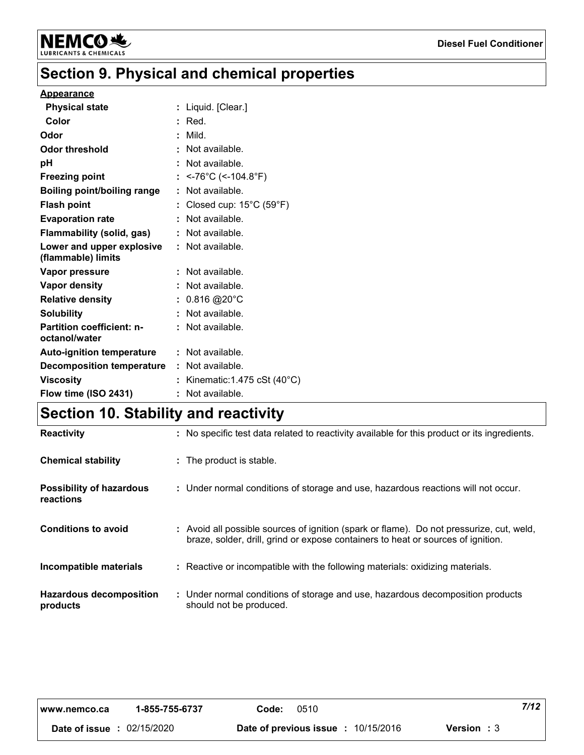

# **Section 9. Physical and chemical properties**

### **Appearance**

| <b>Physical state</b>                             | Liquid. [Clear.]                             |
|---------------------------------------------------|----------------------------------------------|
| Color                                             | $:$ Red.                                     |
| Odor                                              | Mild.                                        |
| Odor threshold                                    | : Not available.                             |
| рH                                                | $\therefore$ Not available.                  |
| <b>Freezing point</b>                             | <-76°C (<-104.8°F)                           |
| <b>Boiling point/boiling range</b>                | Not available.                               |
| <b>Flash point</b>                                | Closed cup: $15^{\circ}$ C (59 $^{\circ}$ F) |
| <b>Evaporation rate</b>                           | $:$ Not available.                           |
| Flammability (solid, gas)                         | $:$ Not available.                           |
| Lower and upper explosive<br>(flammable) limits   | : Not available.                             |
| Vapor pressure                                    | Not available.                               |
| <b>Vapor density</b>                              | : Not available.                             |
| <b>Relative density</b>                           | $: 0.816 @ 20^{\circ} \text{C}$              |
| <b>Solubility</b>                                 | $:$ Not available.                           |
| <b>Partition coefficient: n-</b><br>octanol/water | : Not available.                             |
| <b>Auto-ignition temperature</b>                  | : Not available.                             |
| <b>Decomposition temperature</b>                  | : Not available.                             |
| <b>Viscosity</b>                                  | Kinematic: $1.475$ cSt ( $40^{\circ}$ C)     |
| Flow time (ISO 2431)                              | Not available.                               |

# **Section 10. Stability and reactivity**

| <b>Reactivity</b>                            | : No specific test data related to reactivity available for this product or its ingredients.                                                                                 |
|----------------------------------------------|------------------------------------------------------------------------------------------------------------------------------------------------------------------------------|
| <b>Chemical stability</b>                    | : The product is stable.                                                                                                                                                     |
| <b>Possibility of hazardous</b><br>reactions | : Under normal conditions of storage and use, hazardous reactions will not occur.                                                                                            |
| <b>Conditions to avoid</b>                   | : Avoid all possible sources of ignition (spark or flame). Do not pressurize, cut, weld,<br>braze, solder, drill, grind or expose containers to heat or sources of ignition. |
| Incompatible materials                       | : Reactive or incompatible with the following materials: oxidizing materials.                                                                                                |
| <b>Hazardous decomposition</b><br>products   | : Under normal conditions of storage and use, hazardous decomposition products<br>should not be produced.                                                                    |

| www.nemco.ca  | 1-855-755-6737 | Code: | 0510                                |                   | 7/12 |
|---------------|----------------|-------|-------------------------------------|-------------------|------|
| Date of issue | 02/15/2020     |       | Date of previous issue : 10/15/2016 | <b>Version: 3</b> |      |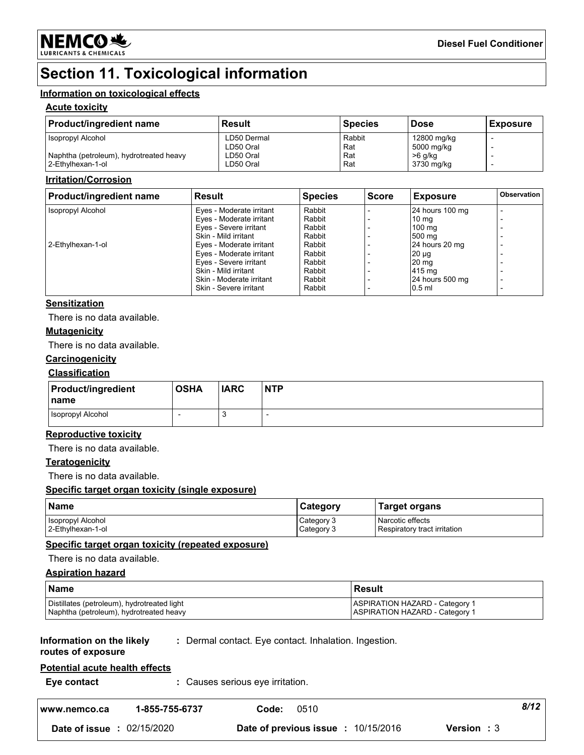

# **Section 11. Toxicological information**

### **Information on toxicological effects**

### **Acute toxicity**

| <b>Product/ingredient name</b>          | Result      | <b>Species</b> | <b>Dose</b> | <b>Exposure</b> |
|-----------------------------------------|-------------|----------------|-------------|-----------------|
| Isopropyl Alcohol                       | LD50 Dermal | Rabbit         | 12800 mg/kg |                 |
|                                         | LD50 Oral   | Rat            | 5000 mg/kg  |                 |
| Naphtha (petroleum), hydrotreated heavy | LD50 Oral   | Rat            | >6 g/kg     |                 |
| 2-Ethylhexan-1-ol                       | LD50 Oral   | Rat            | 3730 mg/kg  |                 |

### **Irritation/Corrosion**

| <b>Product/ingredient name</b> | Result                   | <b>Species</b> | <b>Score</b> | <b>Exposure</b>  | <b>Observation</b> |
|--------------------------------|--------------------------|----------------|--------------|------------------|--------------------|
| Isopropyl Alcohol              | Eyes - Moderate irritant | Rabbit         |              | 24 hours 100 mg  |                    |
|                                | Eyes - Moderate irritant | Rabbit         |              | $10 \text{ ma}$  |                    |
|                                | Eyes - Severe irritant   | Rabbit         |              | $100 \text{ ma}$ |                    |
|                                | Skin - Mild irritant     | Rabbit         |              | 500 mg           |                    |
| 2-Ethylhexan-1-ol              | Eyes - Moderate irritant | Rabbit         |              | 24 hours 20 mg   |                    |
|                                | Eyes - Moderate irritant | Rabbit         |              | $20 \mu q$       |                    |
|                                | Eyes - Severe irritant   | Rabbit         |              | 20 <sub>mg</sub> |                    |
|                                | Skin - Mild irritant     | Rabbit         |              | 415 mg           |                    |
|                                | Skin - Moderate irritant | Rabbit         |              | 24 hours 500 mg  |                    |
|                                | Skin - Severe irritant   | Rabbit         |              | $0.5$ ml         |                    |

### **Sensitization**

There is no data available.

### **Mutagenicity**

There is no data available.

### **Carcinogenicity**

### **Classification**

| <b>Product/ingredient</b><br><b>Iname</b> | <b>OSHA</b> | <b>IARC</b>          | <b>NTP</b> |
|-------------------------------------------|-------------|----------------------|------------|
| Isopropyl Alcohol                         |             | $\ddot{\phantom{a}}$ |            |

### **Reproductive toxicity**

There is no data available.

### **Teratogenicity**

There is no data available.

### **Specific target organ toxicity (single exposure)**

| Name              | Category   | Target organs                |
|-------------------|------------|------------------------------|
| Isopropyl Alcohol | Category 3 | Narcotic effects             |
| 2-Ethylhexan-1-ol | Category 3 | Respiratory tract irritation |

### **Specific target organ toxicity (repeated exposure)**

There is no data available.

### **Aspiration hazard**

| l Name                                      | Result                                |
|---------------------------------------------|---------------------------------------|
| Distillates (petroleum), hydrotreated light | <b>ASPIRATION HAZARD - Category 1</b> |
| Naphtha (petroleum), hydrotreated heavy     | <b>ASPIRATION HAZARD - Category 1</b> |

#### **Information on the likely :** Dermal contact. Eye contact. Inhalation. Ingestion.

### **routes of exposure**

### **Potential acute health effects**

| Eye contact | : Causes serious eye irritation. |
|-------------|----------------------------------|
|-------------|----------------------------------|

| www.nemco.ca                      | 1-855-755-6737 | Code: | 0510                                       |                    | 8/12 |
|-----------------------------------|----------------|-------|--------------------------------------------|--------------------|------|
| <b>Date of issue : 02/15/2020</b> |                |       | <b>Date of previous issue : 10/15/2016</b> | <b>Version</b> : 3 |      |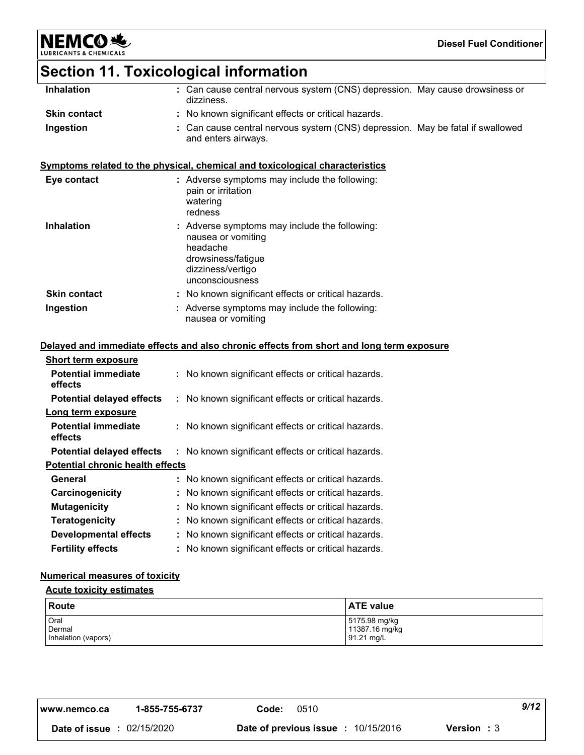# **Section 11. Toxicological information**

NEMCO<sup>.</sup>

| <b>Inhalation</b>   | : Can cause central nervous system (CNS) depression. May cause drowsiness or<br>dizziness.                                                  |  |
|---------------------|---------------------------------------------------------------------------------------------------------------------------------------------|--|
| <b>Skin contact</b> | : No known significant effects or critical hazards.                                                                                         |  |
| Ingestion           | Can cause central nervous system (CNS) depression. May be fatal if swallowed<br>and enters airways.                                         |  |
|                     | Symptoms related to the physical, chemical and toxicological characteristics                                                                |  |
| Eye contact         | : Adverse symptoms may include the following:<br>pain or irritation<br>watering<br>redness                                                  |  |
| <b>Inhalation</b>   | Adverse symptoms may include the following:<br>nausea or vomiting<br>headache<br>drowsiness/fatigue<br>dizziness/vertigo<br>unconsciousness |  |
| <b>Skin contact</b> | : No known significant effects or critical hazards.                                                                                         |  |
| Ingestion           | : Adverse symptoms may include the following:<br>nausea or vomiting                                                                         |  |
|                     |                                                                                                                                             |  |

### **Delayed and immediate effects and also chronic effects from short and long term exposure**

| <b>Short term exposure</b>              |                                                     |
|-----------------------------------------|-----------------------------------------------------|
| <b>Potential immediate</b><br>effects   | : No known significant effects or critical hazards. |
| <b>Potential delayed effects</b>        | : No known significant effects or critical hazards. |
| Long term exposure                      |                                                     |
| <b>Potential immediate</b><br>effects   | : No known significant effects or critical hazards. |
| <b>Potential delayed effects</b>        | : No known significant effects or critical hazards. |
| <b>Potential chronic health effects</b> |                                                     |
| General                                 | : No known significant effects or critical hazards. |
| Carcinogenicity                         | : No known significant effects or critical hazards. |
| <b>Mutagenicity</b>                     | : No known significant effects or critical hazards. |
| <b>Teratogenicity</b>                   | : No known significant effects or critical hazards. |
| <b>Developmental effects</b>            | : No known significant effects or critical hazards. |
| <b>Fertility effects</b>                | : No known significant effects or critical hazards. |

### **Numerical measures of toxicity**

### **Acute toxicity estimates**

| Route               | <b>ATE value</b> |
|---------------------|------------------|
| Oral                | 5175.98 mg/kg    |
| Dermal              | 11387.16 mg/kg   |
| Inhalation (vapors) | 91.21 mg/L       |

| I www.nemco.ca                    | 1-855-755-6737 | Code:                   | 0510       |                    | 9/12 |
|-----------------------------------|----------------|-------------------------|------------|--------------------|------|
| <b>Date of issue : 02/15/2020</b> |                | Date of previous issue: | 10/15/2016 | <b>Version</b> : 3 |      |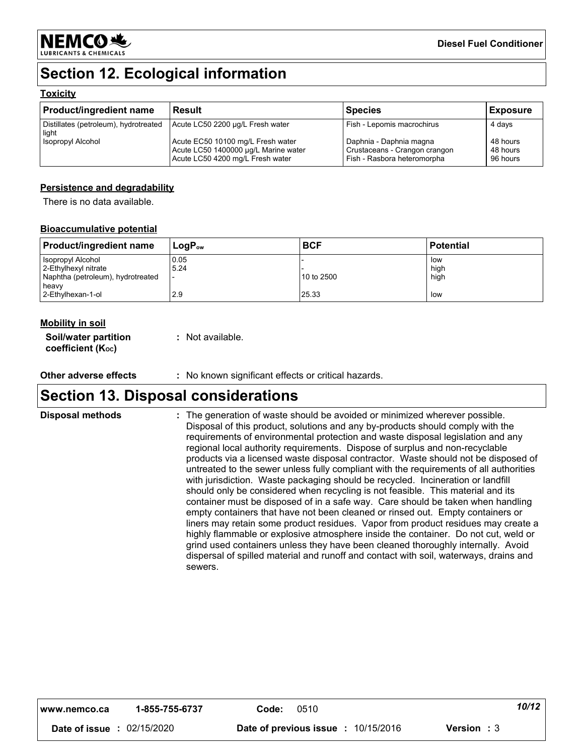

# **Section 12. Ecological information**

### **Toxicity**

| <b>Product/ingredient name</b>                 | l Result                                                                                                      | <b>Species</b>                                                                          | <b>Exposure</b>                  |
|------------------------------------------------|---------------------------------------------------------------------------------------------------------------|-----------------------------------------------------------------------------------------|----------------------------------|
| Distillates (petroleum), hydrotreated<br>light | Acute LC50 2200 µg/L Fresh water                                                                              | Fish - Lepomis macrochirus                                                              | 4 days                           |
| <b>Isopropyl Alcohol</b>                       | Acute EC50 10100 mg/L Fresh water<br>Acute LC50 1400000 µg/L Marine water<br>Acute LC50 4200 mg/L Fresh water | Daphnia - Daphnia magna<br>Crustaceans - Crangon crangon<br>Fish - Rasbora heteromorpha | 48 hours<br>48 hours<br>96 hours |

### **Persistence and degradability**

There is no data available.

### **Bioaccumulative potential**

| <b>Product/ingredient name</b>                                  | $\mathsf{LogP}_\mathsf{ow}$ | <b>BCF</b>          | <b>Potential</b> |
|-----------------------------------------------------------------|-----------------------------|---------------------|------------------|
| I Isopropyl Alcohol<br>2-Ethylhexyl nitrate                     | 0.05<br>15.24               |                     | low<br>high      |
| Naphtha (petroleum), hydrotreated<br>heavv<br>2-Ethylhexan-1-ol | 2.9                         | 10 to 2500<br>25.33 | high<br>low      |

### **Mobility in soil**

| Soil/water partition   | : Not available. |
|------------------------|------------------|
| coefficient $(K_{oc})$ |                  |

**Other adverse effects** : No known significant effects or critical hazards.

## **Section 13. Disposal considerations**

The generation of waste should be avoided or minimized wherever possible. Disposal of this product, solutions and any by-products should comply with the requirements of environmental protection and waste disposal legislation and any regional local authority requirements. Dispose of surplus and non-recyclable products via a licensed waste disposal contractor. Waste should not be disposed of untreated to the sewer unless fully compliant with the requirements of all authorities with jurisdiction. Waste packaging should be recycled. Incineration or landfill should only be considered when recycling is not feasible. This material and its container must be disposed of in a safe way. Care should be taken when handling empty containers that have not been cleaned or rinsed out. Empty containers or liners may retain some product residues. Vapor from product residues may create a highly flammable or explosive atmosphere inside the container. Do not cut, weld or grind used containers unless they have been cleaned thoroughly internally. Avoid dispersal of spilled material and runoff and contact with soil, waterways, drains and sewers. **Disposal methods :**

| 10/1?<br>1-855-755-6737<br>0510<br>Code:<br>www.nemco.ca |  |
|----------------------------------------------------------|--|
|----------------------------------------------------------|--|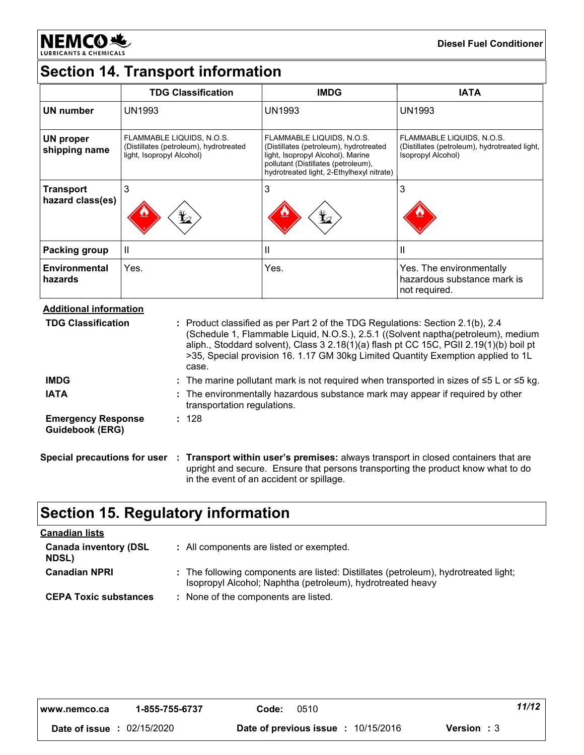

# **Section 14. Transport information**

|                                      | <b>TDG Classification</b>                                                                        | <b>IMDG</b>                                                                                                                                                                                  | <b>IATA</b>                                                                                      |  |
|--------------------------------------|--------------------------------------------------------------------------------------------------|----------------------------------------------------------------------------------------------------------------------------------------------------------------------------------------------|--------------------------------------------------------------------------------------------------|--|
| <b>UN number</b>                     | <b>UN1993</b>                                                                                    | <b>UN1993</b>                                                                                                                                                                                | <b>UN1993</b>                                                                                    |  |
| <b>UN proper</b><br>shipping name    | FLAMMABLE LIQUIDS, N.O.S.<br>(Distillates (petroleum), hydrotreated<br>light, Isopropyl Alcohol) | FLAMMABLE LIQUIDS, N.O.S.<br>(Distillates (petroleum), hydrotreated<br>light, Isopropyl Alcohol). Marine<br>pollutant (Distillates (petroleum),<br>hydrotreated light, 2-Ethylhexyl nitrate) | FLAMMABLE LIQUIDS, N.O.S.<br>(Distillates (petroleum), hydrotreated light,<br>Isopropyl Alcohol) |  |
| <b>Transport</b><br>hazard class(es) | 3<br>$\bigstar$                                                                                  | 3<br>$\bigstar$                                                                                                                                                                              | 3                                                                                                |  |
| <b>Packing group</b>                 | Ш                                                                                                | ш                                                                                                                                                                                            | Ш                                                                                                |  |
| Environmental<br>hazards             | Yes.                                                                                             | Yes.                                                                                                                                                                                         | Yes. The environmentally<br>hazardous substance mark is<br>not required.                         |  |

**Additional information**

| <b>TDG Classification</b>                    | : Product classified as per Part 2 of the TDG Regulations: Section 2.1(b), 2.4<br>(Schedule 1, Flammable Liquid, N.O.S.), 2.5.1 ((Solvent naptha(petroleum), medium<br>aliph., Stoddard solvent), Class 3 2.18(1)(a) flash pt CC 15C, PGII 2.19(1)(b) boil pt<br>>35, Special provision 16. 1.17 GM 30kg Limited Quantity Exemption applied to 1L<br>case. |
|----------------------------------------------|------------------------------------------------------------------------------------------------------------------------------------------------------------------------------------------------------------------------------------------------------------------------------------------------------------------------------------------------------------|
| <b>IMDG</b>                                  | : The marine pollutant mark is not required when transported in sizes of $\leq 5$ L or $\leq 5$ kg.                                                                                                                                                                                                                                                        |
| <b>IATA</b>                                  | : The environmentally hazardous substance mark may appear if required by other<br>transportation regulations.                                                                                                                                                                                                                                              |
| <b>Emergency Response</b><br>Guidebook (ERG) | : 128                                                                                                                                                                                                                                                                                                                                                      |
|                                              | Special precautions for user : Transport within user's premises: always transport in closed containers that are<br>upright and secure. Ensure that persons transporting the product know what to do<br>in the event of an accident or spillage.                                                                                                            |

# **Section 15. Regulatory information**

| <b>Canadian lists</b>                        |                                                                                                                                                   |
|----------------------------------------------|---------------------------------------------------------------------------------------------------------------------------------------------------|
| <b>Canada inventory (DSL</b><br><b>NDSL)</b> | : All components are listed or exempted.                                                                                                          |
| <b>Canadian NPRI</b>                         | : The following components are listed: Distillates (petroleum), hydrotreated light;<br>Isopropyl Alcohol; Naphtha (petroleum), hydrotreated heavy |
| <b>CEPA Toxic substances</b>                 | : None of the components are listed.                                                                                                              |

| l www.nemco.ca | 1-855-755-6737 | 0510<br>Code:                       | 11/12              |
|----------------|----------------|-------------------------------------|--------------------|
| Date of issue  | 02/15/2020     | Date of previous issue : 10/15/2016 | <b>Version</b> : 3 |